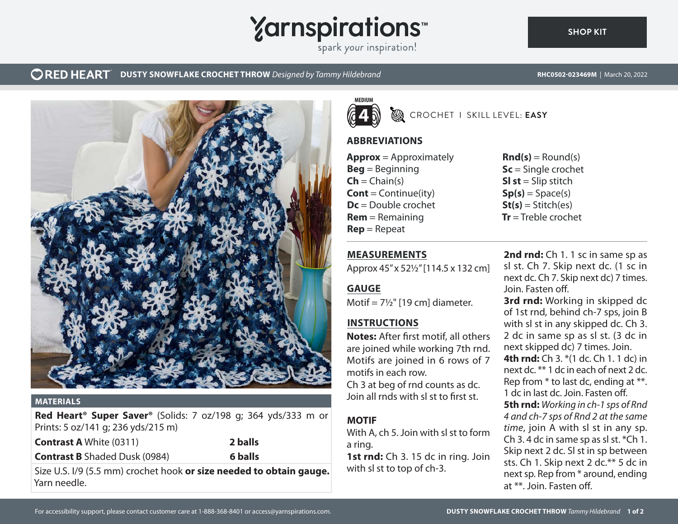# **Yarnspirations**

spark your inspiration!

## **ORED HEART** DUSTY SNOWFLAKE CROCHET THROW *Designed by Tammy Hildebrand* **RHC0502-023469M** | March 20, 2022

**[SHOP KIT](https://www.yarnspirations.com/RHC0502-023469M.html#utm_source=pdf-yarnspirations&utm_medium=referral)**



#### **MATERIALS**

**Red Heart® Super Saver®** (Solids: 7 oz/198 g; 364 yds/333 m or Prints: 5 oz/141 g; 236 yds/215 m)

**Contrast A** White (0311) **2 balls Contrast B** Shaded Dusk (0984) **6 balls**

Size U.S. I/9 (5.5 mm) crochet hook **or size needed to obtain gauge.** Yarn needle.



CROCHET I SKILL LEVEL: **EASY**

## **ABBREVIATIONS**

**Approx** = Approximately **Beg** = Beginning  $\mathsf{Ch} = \mathsf{Chain}(s)$ **Cont** = Continue(ity) **Dc** = Double crochet **Rem** = Remaining **Rep** = Repeat

**MEASUREMENTS**

**INSTRUCTIONS**

motifs in each row.

**GAUGE**

**MOTIF**

a ring.

Approx 45" x 52½" [114.5 x 132 cm]

**Notes:** After first motif, all others are joined while working 7th rnd. Motifs are joined in 6 rows of 7

Ch 3 at beg of rnd counts as dc. Join all rnds with sl st to first st.

With A, ch 5. Join with sl st to form

1st rnd: Ch 3. 15 dc in ring. Join

with sl st to top of ch-3.

Motif =  $7\frac{1}{2}$ " [19 cm] diameter.

 $\text{Rnd}(s) = \text{Round}(s)$ **Sc** = Single crochet **SI st** = Slip stitch  $Sp(s) = Space(s)$  $St(s) = Stitch(es)$ **Tr** = Treble crochet

**2nd rnd:** Ch 1. 1 sc in same sp as sl st. Ch 7. Skip next dc. (1 sc in next dc. Ch 7. Skip next dc) 7 times. Join. Fasten off. **3rd rnd:** Working in skipped dc of 1st rnd, behind ch-7 sps, join B with sl st in any skipped dc. Ch 3. 2 dc in same sp as sl st. (3 dc in next skipped dc) 7 times. Join. **4th rnd:** Ch 3. \*(1 dc. Ch 1. 1 dc) in next dc. \*\* 1 dc in each of next 2 dc. Rep from \* to last dc, ending at \*\*. 1 dc in last dc. Join. Fasten off. **5th rnd:** *Working in ch-1 sps of Rnd 4 and ch-7 sps of Rnd 2 at the same time*, join A with sl st in any sp. Ch 3. 4 dc in same sp as sl st. \*Ch 1. Skip next 2 dc. Sl st in sp between sts. Ch 1. Skip next 2 dc.\*\* 5 dc in next sp. Rep from \* around, ending at \*\*. Join. Fasten off.